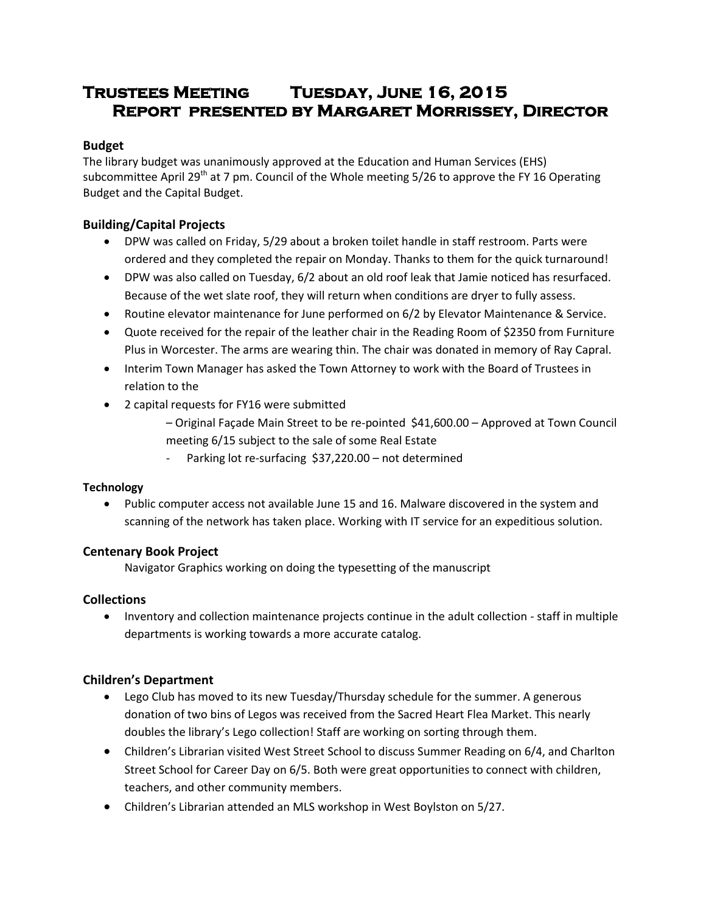# **Trustees Meeting Tuesday, June 16, 2015 Report presented by Margaret Morrissey, Director**

# **Budget**

The library budget was unanimously approved at the Education and Human Services (EHS) subcommittee April 29<sup>th</sup> at 7 pm. Council of the Whole meeting 5/26 to approve the FY 16 Operating Budget and the Capital Budget.

# **Building/Capital Projects**

- DPW was called on Friday, 5/29 about a broken toilet handle in staff restroom. Parts were ordered and they completed the repair on Monday. Thanks to them for the quick turnaround!
- DPW was also called on Tuesday, 6/2 about an old roof leak that Jamie noticed has resurfaced. Because of the wet slate roof, they will return when conditions are dryer to fully assess.
- Routine elevator maintenance for June performed on 6/2 by Elevator Maintenance & Service.
- Quote received for the repair of the leather chair in the Reading Room of \$2350 from Furniture Plus in Worcester. The arms are wearing thin. The chair was donated in memory of Ray Capral.
- Interim Town Manager has asked the Town Attorney to work with the Board of Trustees in relation to the
- 2 capital requests for FY16 were submitted
	- Original Façade Main Street to be re-pointed \$41,600.00 Approved at Town Council meeting 6/15 subject to the sale of some Real Estate
	- Parking lot re-surfacing \$37,220.00 not determined

# **Technology**

 Public computer access not available June 15 and 16. Malware discovered in the system and scanning of the network has taken place. Working with IT service for an expeditious solution.

# **Centenary Book Project**

Navigator Graphics working on doing the typesetting of the manuscript

# **Collections**

 Inventory and collection maintenance projects continue in the adult collection - staff in multiple departments is working towards a more accurate catalog.

# **Children's Department**

- Lego Club has moved to its new Tuesday/Thursday schedule for the summer. A generous donation of two bins of Legos was received from the Sacred Heart Flea Market. This nearly doubles the library's Lego collection! Staff are working on sorting through them.
- Children's Librarian visited West Street School to discuss Summer Reading on 6/4, and Charlton Street School for Career Day on 6/5. Both were great opportunities to connect with children, teachers, and other community members.
- Children's Librarian attended an MLS workshop in West Boylston on 5/27.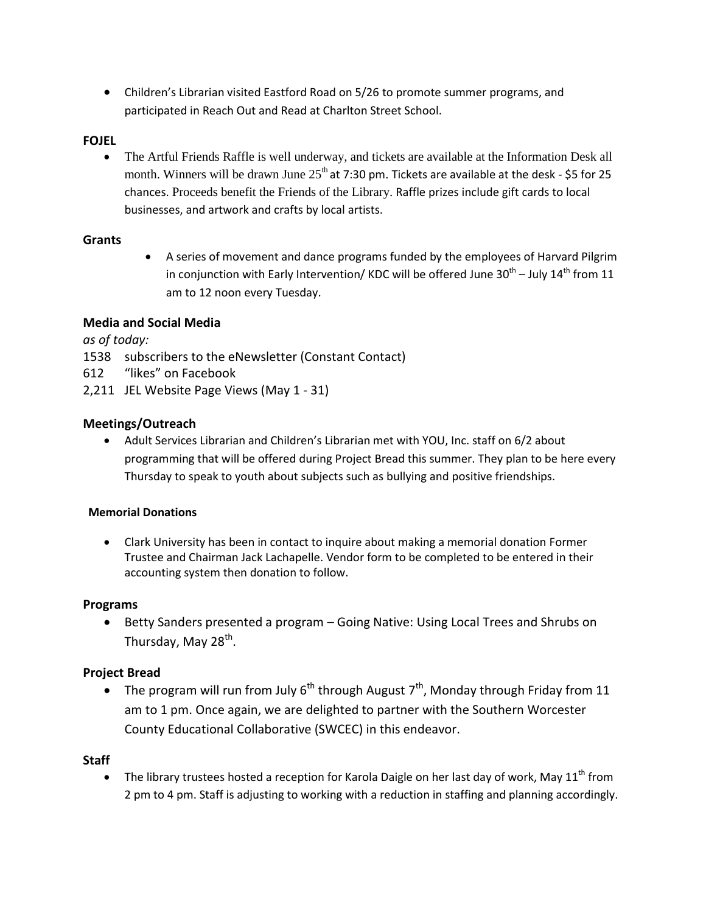Children's Librarian visited Eastford Road on 5/26 to promote summer programs, and participated in Reach Out and Read at Charlton Street School.

# **FOJEL**

 The Artful Friends Raffle is well underway, and tickets are available at the Information Desk all month. Winners will be drawn June  $25<sup>th</sup>$  at 7:30 pm. Tickets are available at the desk - \$5 for 25 chances. Proceeds benefit the Friends of the Library. Raffle prizes include gift cards to local businesses, and artwork and crafts by local artists.

#### **Grants**

 A series of movement and dance programs funded by the employees of Harvard Pilgrim in conjunction with Early Intervention/ KDC will be offered June 30<sup>th</sup> – July 14<sup>th</sup> from 11 am to 12 noon every Tuesday.

## **Media and Social Media**

*as of today:*

- 1538 subscribers to the eNewsletter (Constant Contact)
- 612 "likes" on Facebook
- 2,211 JEL Website Page Views (May 1 31)

## **Meetings/Outreach**

 Adult Services Librarian and Children's Librarian met with YOU, Inc. staff on 6/2 about programming that will be offered during Project Bread this summer. They plan to be here every Thursday to speak to youth about subjects such as bullying and positive friendships.

#### **Memorial Donations**

 Clark University has been in contact to inquire about making a memorial donation Former Trustee and Chairman Jack Lachapelle. Vendor form to be completed to be entered in their accounting system then donation to follow.

#### **Programs**

 Betty Sanders presented a program – Going Native: Using Local Trees and Shrubs on Thursday, May 28<sup>th</sup>.

# **Project Bread**

• The program will run from July  $6^{th}$  through August  $7^{th}$ , Monday through Friday from 11 am to 1 pm. Once again, we are delighted to partner with the Southern Worcester County Educational Collaborative (SWCEC) in this endeavor.

#### **Staff**

• The library trustees hosted a reception for Karola Daigle on her last day of work, May  $11^{\text{th}}$  from 2 pm to 4 pm. Staff is adjusting to working with a reduction in staffing and planning accordingly.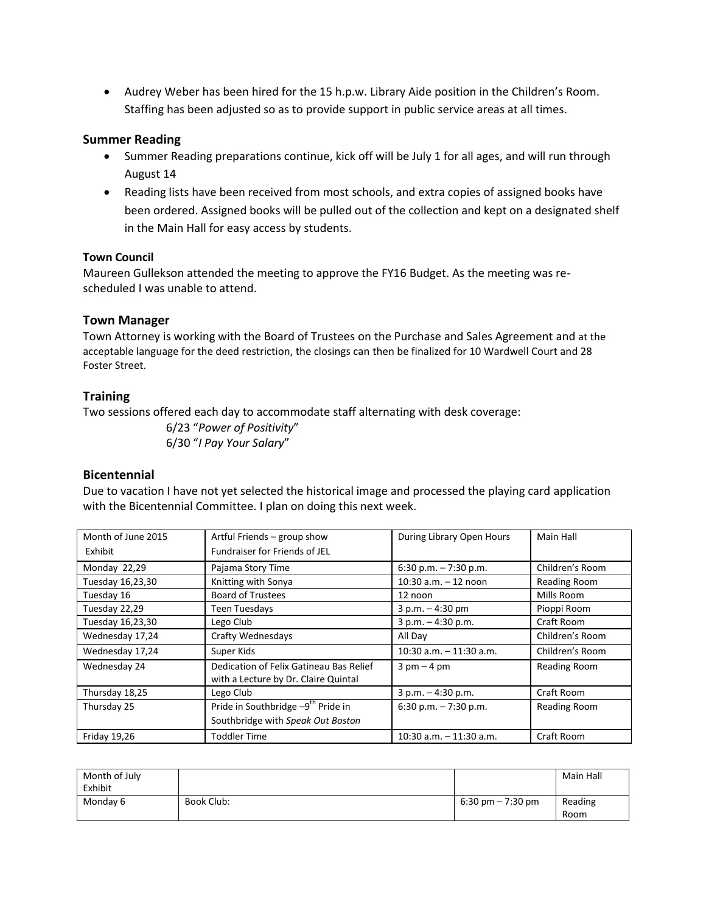Audrey Weber has been hired for the 15 h.p.w. Library Aide position in the Children's Room. Staffing has been adjusted so as to provide support in public service areas at all times.

## **Summer Reading**

- Summer Reading preparations continue, kick off will be July 1 for all ages, and will run through August 14
- Reading lists have been received from most schools, and extra copies of assigned books have been ordered. Assigned books will be pulled out of the collection and kept on a designated shelf in the Main Hall for easy access by students.

#### **Town Council**

Maureen Gullekson attended the meeting to approve the FY16 Budget. As the meeting was rescheduled I was unable to attend.

#### **Town Manager**

Town Attorney is working with the Board of Trustees on the Purchase and Sales Agreement and at the acceptable language for the deed restriction, the closings can then be finalized for 10 Wardwell Court and 28 Foster Street.

## **Training**

Two sessions offered each day to accommodate staff alternating with desk coverage:

6/23 "*Power of Positivity*" 6/30 "*I Pay Your Salary*"

#### **Bicentennial**

Due to vacation I have not yet selected the historical image and processed the playing card application with the Bicentennial Committee. I plan on doing this next week.

| Month of June 2015  | Artful Friends - group show                                                     | During Library Open Hours     | Main Hall           |
|---------------------|---------------------------------------------------------------------------------|-------------------------------|---------------------|
| Exhibit             | Fundraiser for Friends of JEL                                                   |                               |                     |
| Monday 22,29        | Pajama Story Time                                                               | 6:30 p.m. $-7:30$ p.m.        | Children's Room     |
| Tuesday 16,23,30    | Knitting with Sonya                                                             | 10:30 $a.m. - 12$ noon        | <b>Reading Room</b> |
| Tuesday 16          | <b>Board of Trustees</b>                                                        | 12 noon                       | Mills Room          |
| Tuesday 22,29       | Teen Tuesdays                                                                   | $3 p.m. - 4:30 pm$            | Pioppi Room         |
| Tuesday 16,23,30    | Lego Club                                                                       | $3 p.m. - 4:30 p.m.$          | Craft Room          |
| Wednesday 17,24     | Crafty Wednesdays                                                               | All Day                       | Children's Room     |
| Wednesday 17,24     | Super Kids                                                                      | $10:30$ a.m. $-11:30$ a.m.    | Children's Room     |
| Wednesday 24        | Dedication of Felix Gatineau Bas Relief<br>with a Lecture by Dr. Claire Quintal | $3 \text{ pm} - 4 \text{ pm}$ | <b>Reading Room</b> |
| Thursday 18,25      | Lego Club                                                                       | $3 p.m. - 4:30 p.m.$          | Craft Room          |
| Thursday 25         | Pride in Southbridge -9 <sup>th</sup> Pride in                                  | 6:30 p.m. $-7:30$ p.m.        | <b>Reading Room</b> |
|                     | Southbridge with Speak Out Boston                                               |                               |                     |
| <b>Friday 19,26</b> | <b>Toddler Time</b>                                                             | $10:30$ a.m. $-11:30$ a.m.    | Craft Room          |

| Month of July<br>Exhibit |            |                                     | Main Hall       |
|--------------------------|------------|-------------------------------------|-----------------|
| Monday 6                 | Book Club: | $6:30 \text{ pm} - 7:30 \text{ pm}$ | Reading<br>Room |